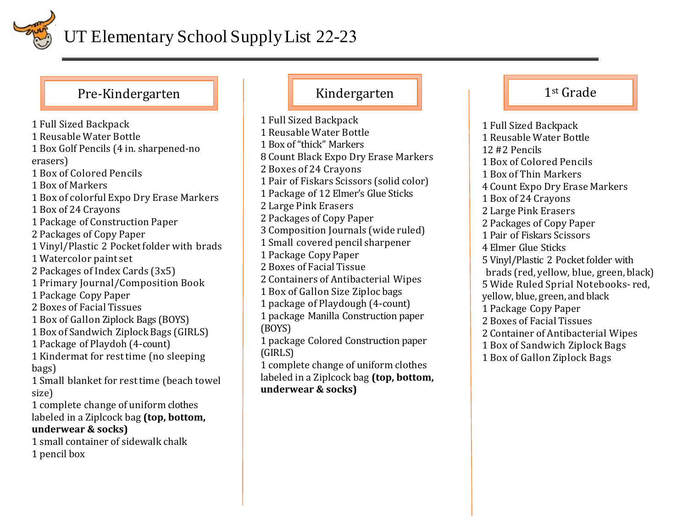

## Pre-Kindergarten **Kritiger († 1**st Grade

1 Full Sized Backpack 1 Reusable Water Bottle 1 Box Golf Pencils (4 in. sharpened-no erasers) 1 Box of Colored Pencils 1 Box of Markers 1 Box of colorful Expo Dry Erase Markers 1 Box of 24 Crayons 1 Package of Construction Paper 2 Packages of Copy Paper 1 Vinyl/Plastic 2 Pocket folder with brads 1 Watercolor paint set 2 Packages of Index Cards (3x5) 1 Primary Journal/Composition Book 1 Package Copy Paper 2 Boxes of Facial Tissues 1 Box of Gallon Ziplock Bags (BOYS) 1 Box of Sandwich Ziplock Bags (GIRLS) 1 Package of Playdoh (4-count) 1 Kindermat for rest time (no sleeping bags) 1 Small blanket for rest time (beach towel size) 1 complete change of uniform clothes labeled in a Ziplcock bag **(top, bottom, underwear & socks)** 1 small container of sidewalk chalk 1 pencil box

1 Full Sized Backpack 1 Reusable Water Bottle 1 Box of "thick" Markers 8 Count Black Expo Dry Erase Markers 2 Boxes of 24 Crayons 1 Pair of Fiskars Scissors (solid color) 1 Package of 12 Elmer's Glue Sticks 2 Large Pink Erasers 2 Packages of Copy Paper 3 Composition Journals (wide ruled) 1 Small covered pencil sharpener 1 Package Copy Paper 2 Boxes of Facial Tissue 2 Containers of Antibacterial Wipes 1 Box of Gallon Size Ziploc bags 1 package of Playdough (4-count) 1 package Manilla Construction paper (BOYS) 1 package Colored Construction paper (GIRLS) 1 complete change of uniform clothes labeled in a Ziplcock bag **(top, bottom, underwear & socks)**

1 Full Sized Backpack 1 Reusable Water Bottle 12 #2 Pencils 1 Box of Colored Pencils 1 Box of Thin Markers 4 Count Expo Dry Erase Markers 1 Box of 24 Crayons 2 Large Pink Erasers 2 Packages of Copy Paper 1 Pair of Fiskars Scissors 4 Elmer Glue Sticks 5 Vinyl/Plastic 2 Pocket folder with brads (red, yellow, blue, green, black) 5 Wide Ruled Sprial Notebooks- red, yellow, blue, green, and black 1 Package Copy Paper 2 Boxes of Facial Tissues 2 Container of Antibacterial Wipes 1 Box of Sandwich Ziplock Bags 1 Box of Gallon Ziplock Bags